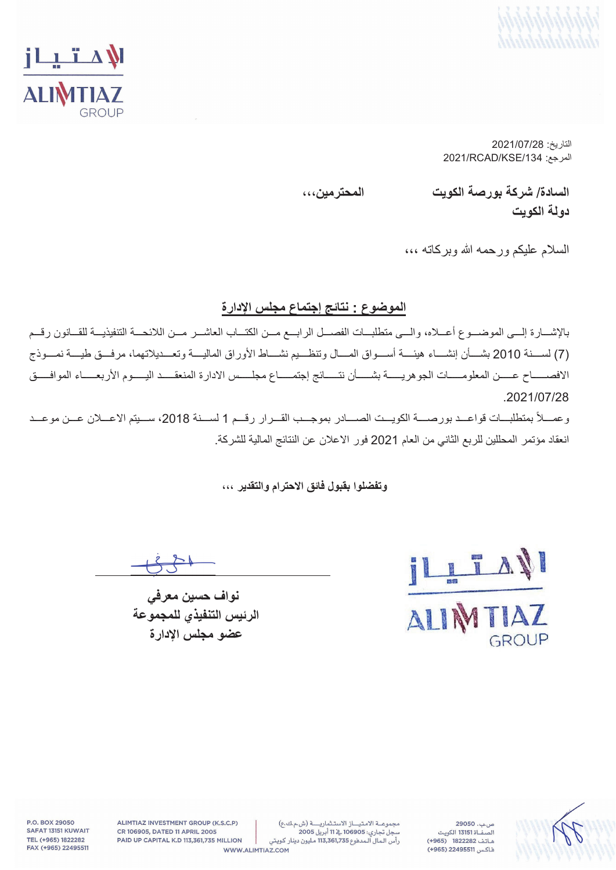



التاريخ: 2021/07/28  $2021$ /RCAD/KSE/134 آلمرجع:

السادة/ شركة بورصة الكويت المحترمي*ن*،،، **دو لـة الكويت** 

السلام عليكم ورحمه الله وبركاته ،،،

#### الموضوع : نتائج إ**جتماع مجلس الإدار**ة

بالإشـــارة إلـــي الموضـــوع أعـــلاه، والـــي متطلبـــات الفصـــل الرابـــع مـــن الكتـــاب العاشـــر مـــن اللائحـــة التتفيذيـــة للقـــانون رقـــم مّ) لســــذة 2010 بشــــأن إنشــــاء هيئــــة أســــواق المـــال وتنظـــيم نشــــاط الأوراق الماليــــة وتعـــديلاتهما، مرفـــق طيــــة نمــــوذج الافصــــاح عــــن المعلومـــــات الجوهريـــــة بشــــأن نتــــائج إجتمــــاع مجلــــس الادارة المنعقــــد اليــــوم الأربعــــاء الموافــــق .2021/07/28

وعمــلأ بمتطلبــات قواعــد بورصـــة الكويــت الصـــادر بموجــب القــرار رقــم 1 لســنة 2018، ســيتم الاعــلان عــن موعــد انعقاد مؤتمر المحللين للربع الثاني من العام 2021 فور الاعلان عن النتائج المالية للشركة.

#### وت**فضلوا بِفَبِولِ فَ**ائقِ الإحترام والتقدير ،،،



نواف حسين معرف*ي* الرئيس التنفيذي للمجموعة عضو مجلس الإدارة



 $29050...$ ص .<br>الصفــاة 13151 الكويت هاتف 1822282 (965+) فاكس 22495511 (965+)

مجموعة الامتياز الاستثمارية (ش.م.ك.ع) .<br>سجل تجاري: 106905 <u>به</u> 11 أبريل 2005 رأس المال المدفوع 113,361,735 مليون دينار كويتي

ALIMTIAZ INVESTMENT GROUP (K.S.C.P) CR 106905, DATED 11 APRIL 2005 PAID UP CAPITAL K.D 113,361,735 MILLION WWW.ALIMTIAZ.COM

P.O. BOX 29050 SAFAT 13151 KUWAIT TEL (+965) 1822282 FAX (+965) 22495511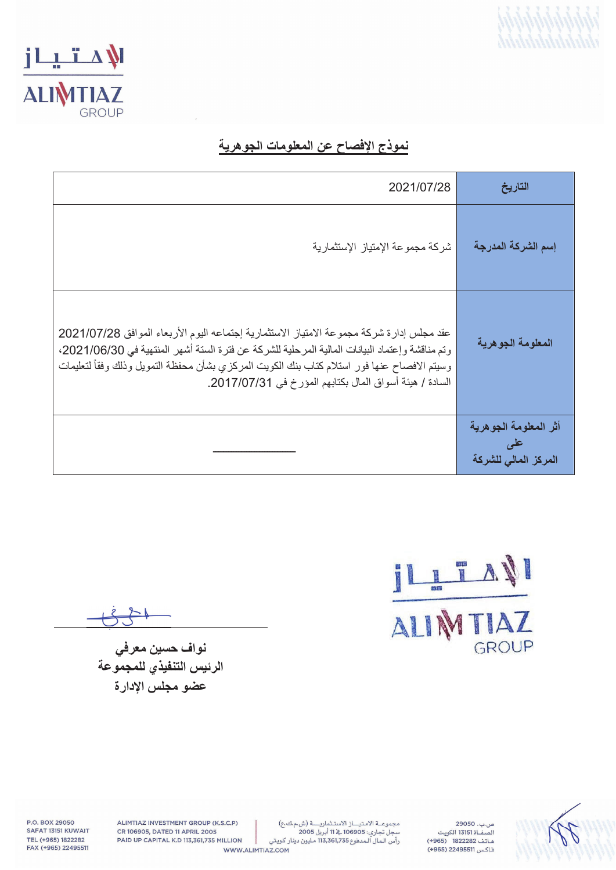



## نموذج الإفصاح عن المعلومات الجوهرية

| 2021/07/28                                                                                                                                                                                                                                                                                                                                            | التاريخ                                              |
|-------------------------------------------------------------------------------------------------------------------------------------------------------------------------------------------------------------------------------------------------------------------------------------------------------------------------------------------------------|------------------------------------------------------|
| شركة مجموعة الإمتياز الإستثمارية                                                                                                                                                                                                                                                                                                                      | إسم الشركة المدرجة                                   |
| عقد مجلس إدارة شركة مجموعة الامتياز الاستثمارية إجتماعه اليوم الأربعاء الموافق 2021/07/28<br>وتم مناقشة وإعتماد البيانات المالية المرحلية للشركة عن فترة الستة أشهر المنتهية في 2021/06/30،<br>وسيتم الافصاح عنها فور استلام كتاب بنك الكويت المركزي بشأن محفظة التمويل وذلك وفقأ لتعليمات<br>السادة / هيئة أسواق المال بكتابهم المؤرخ في 2017/07/31. | المعلومة الجوهرية                                    |
|                                                                                                                                                                                                                                                                                                                                                       | أثر المعلومة الجوهرية<br>علس<br>المركز المالى للشركة |

ILLTAN GROUP

نوا**ف ح**سين معرف*ي* الرئيس التنفيذي للمجموعة عضو مجلس الادارة



ص.ب. 29050 .<br>الصفــاة 13151 الكويت هاتف 1822282 (965+) فاكس 22495511 (965+)

ALIMTIAZ INVESTMENT GROUP (K.S.C.P) CR 106905, DATED 11 APRIL 2005 PAID UP CAPITAL K.D 113,361,735 MILLION WWW.ALIMTIAZ.COM

P.O. BOX 29050 SAFAT 13151 KUWAIT TEL (+965) 1822282 FAX (+965) 22495511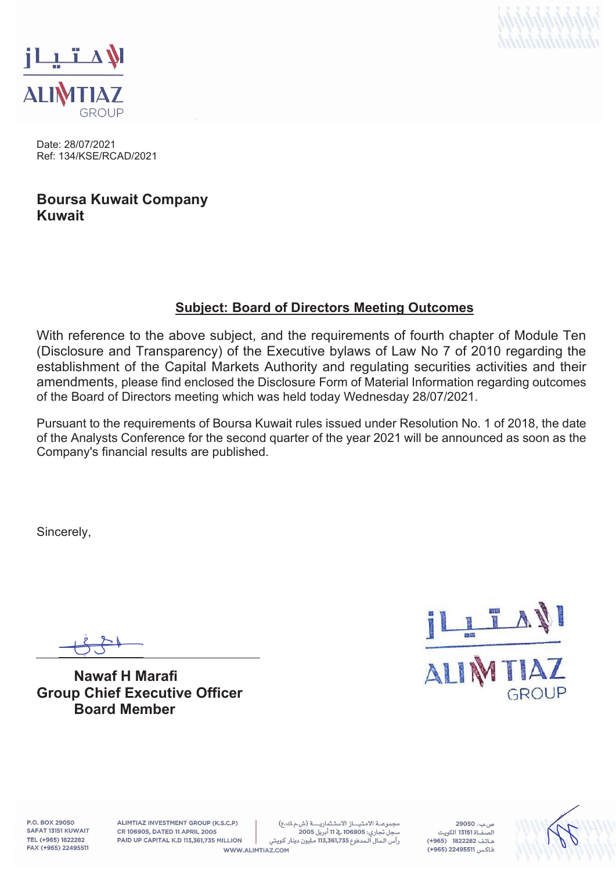



Date: 28/07/2021 Ref: 134/KSE/RCAD/2021

## **Boursa Kuwait Company Kuwait**

### **Subject: Board of Directors Meeting Outcomes**

With reference to the above subject, and the requirements of fourth chapter of Module Ten (Disclosure and Transparency) of the Executive bylaws of Law No 7 of 2010 regarding the establishment of the Capital Markets Authority and regulating securities activities and their amendments, please find enclosed the Disclosure Form of Material Information regarding outcomes of the Board of Directors meeting which was held today Wednesday 28/07/2021.

Pursuant to the requirements of Boursa Kuwait rules issued under Resolution No. 1 of 2018, the date of the Analysts Conference for the second quarter of the year 2021 will be announced as soon as the Company's financial results are published.

Sincerely,

**Nawaf H Marafi Group Chief Executive Officer Board Member** 



P.O. BOX 29050 SAFAT 13151 KUWAIT TEL (+965) 1822282 FAX (+965) 22495511

ALIMTIAZ INVESTMENT GROUP (K.S.C.P) CR 106905, DATED 11 APRIL 2005 PAID UP CAPITAL K.D 113,361,735 MILLION

مجموعة الامتياز الاستثمارية (ش.م.ك.ع) سجل تجاري: 106905 ﴾ 11 أبريل 2005 رأس المال المدفوع 113,361,735 مليون دينار كويتي WWW.ALIMTIAZ.COM

 $29050, \ldots$ هاتف 1822282 (965+) فاكس 22495511 (965+)